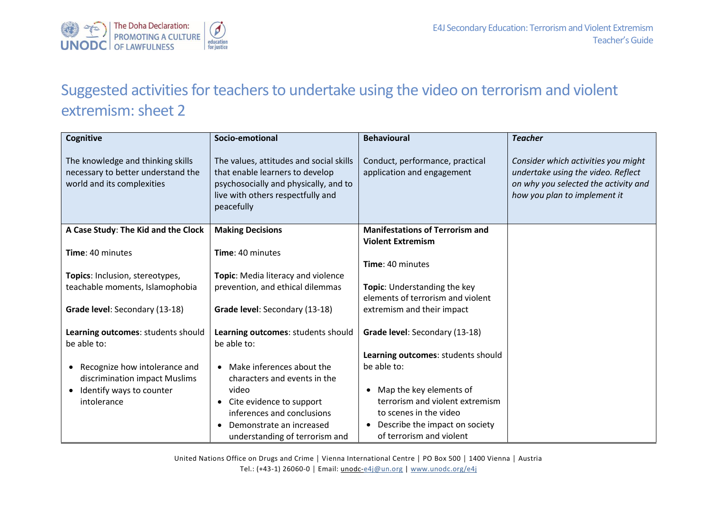

## Suggested activities for teachers to undertake using the video on terrorism and violent extremism: sheet 2

| Cognitive                                                                                             | Socio-emotional                                                                                                                                                        | <b>Behavioural</b>                                                 | <b>Teacher</b>                                                                                                                                    |
|-------------------------------------------------------------------------------------------------------|------------------------------------------------------------------------------------------------------------------------------------------------------------------------|--------------------------------------------------------------------|---------------------------------------------------------------------------------------------------------------------------------------------------|
| The knowledge and thinking skills<br>necessary to better understand the<br>world and its complexities | The values, attitudes and social skills<br>that enable learners to develop<br>psychosocially and physically, and to<br>live with others respectfully and<br>peacefully | Conduct, performance, practical<br>application and engagement      | Consider which activities you might<br>undertake using the video. Reflect<br>on why you selected the activity and<br>how you plan to implement it |
| A Case Study: The Kid and the Clock                                                                   | <b>Making Decisions</b>                                                                                                                                                | <b>Manifestations of Terrorism and</b><br><b>Violent Extremism</b> |                                                                                                                                                   |
| Time: 40 minutes                                                                                      | Time: 40 minutes                                                                                                                                                       |                                                                    |                                                                                                                                                   |
|                                                                                                       |                                                                                                                                                                        | Time: 40 minutes                                                   |                                                                                                                                                   |
| Topics: Inclusion, stereotypes,                                                                       | Topic: Media literacy and violence                                                                                                                                     |                                                                    |                                                                                                                                                   |
| teachable moments, Islamophobia                                                                       | prevention, and ethical dilemmas                                                                                                                                       | Topic: Understanding the key                                       |                                                                                                                                                   |
|                                                                                                       |                                                                                                                                                                        | elements of terrorism and violent                                  |                                                                                                                                                   |
| Grade level: Secondary (13-18)                                                                        | Grade level: Secondary (13-18)                                                                                                                                         | extremism and their impact                                         |                                                                                                                                                   |
| Learning outcomes: students should<br>be able to:                                                     | Learning outcomes: students should<br>be able to:                                                                                                                      | Grade level: Secondary (13-18)                                     |                                                                                                                                                   |
|                                                                                                       |                                                                                                                                                                        | Learning outcomes: students should                                 |                                                                                                                                                   |
| Recognize how intolerance and<br>$\bullet$                                                            | Make inferences about the                                                                                                                                              | be able to:                                                        |                                                                                                                                                   |
| discrimination impact Muslims                                                                         | characters and events in the                                                                                                                                           |                                                                    |                                                                                                                                                   |
| Identify ways to counter<br>$\bullet$                                                                 | video                                                                                                                                                                  | Map the key elements of<br>$\bullet$                               |                                                                                                                                                   |
| intolerance                                                                                           | Cite evidence to support                                                                                                                                               | terrorism and violent extremism                                    |                                                                                                                                                   |
|                                                                                                       | inferences and conclusions                                                                                                                                             | to scenes in the video                                             |                                                                                                                                                   |
|                                                                                                       | Demonstrate an increased                                                                                                                                               | Describe the impact on society<br>$\bullet$                        |                                                                                                                                                   |
|                                                                                                       | understanding of terrorism and                                                                                                                                         | of terrorism and violent                                           |                                                                                                                                                   |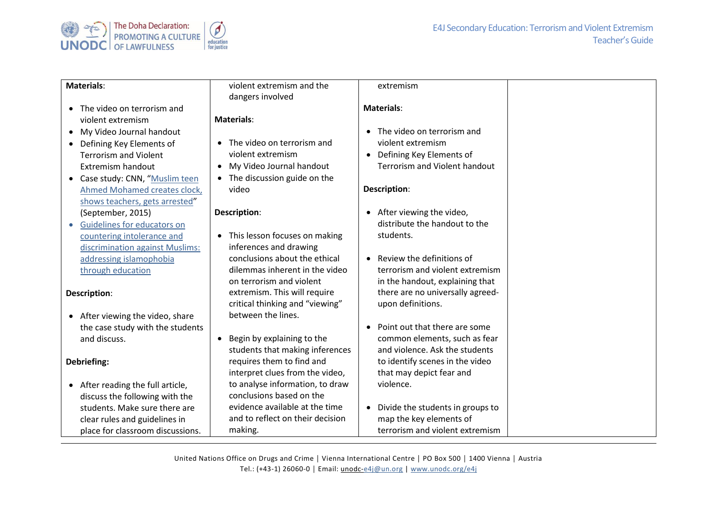

| <b>Materials:</b>                     | violent extremism and the                  | extremism                                     |
|---------------------------------------|--------------------------------------------|-----------------------------------------------|
|                                       | dangers involved                           |                                               |
| • The video on terrorism and          |                                            | <b>Materials:</b>                             |
| violent extremism                     | <b>Materials:</b>                          |                                               |
| My Video Journal handout<br>$\bullet$ |                                            | The video on terrorism and<br>$\bullet$       |
| • Defining Key Elements of            | The video on terrorism and                 | violent extremism                             |
| <b>Terrorism and Violent</b>          | violent extremism                          | Defining Key Elements of<br>$\bullet$         |
| Extremism handout                     | My Video Journal handout<br>$\bullet$      | <b>Terrorism and Violent handout</b>          |
| • Case study: CNN, "Muslim teen       | The discussion guide on the<br>$\bullet$   |                                               |
| Ahmed Mohamed creates clock,          | video                                      | Description:                                  |
| shows teachers, gets arrested"        |                                            |                                               |
| (September, 2015)                     | Description:                               | After viewing the video,<br>$\bullet$         |
| Guidelines for educators on           |                                            | distribute the handout to the                 |
| countering intolerance and            | This lesson focuses on making<br>$\bullet$ | students.                                     |
| discrimination against Muslims:       | inferences and drawing                     |                                               |
| addressing islamophobia               | conclusions about the ethical              | Review the definitions of<br>$\bullet$        |
| through education                     | dilemmas inherent in the video             | terrorism and violent extremism               |
|                                       | on terrorism and violent                   | in the handout, explaining that               |
| Description:                          | extremism. This will require               | there are no universally agreed-              |
|                                       | critical thinking and "viewing"            | upon definitions.                             |
| • After viewing the video, share      | between the lines.                         |                                               |
| the case study with the students      |                                            | Point out that there are some<br>$\bullet$    |
| and discuss.                          | Begin by explaining to the<br>$\bullet$    | common elements, such as fear                 |
|                                       | students that making inferences            | and violence. Ask the students                |
| Debriefing:                           | requires them to find and                  | to identify scenes in the video               |
|                                       | interpret clues from the video,            | that may depict fear and                      |
| • After reading the full article,     | to analyse information, to draw            | violence.                                     |
| discuss the following with the        | conclusions based on the                   |                                               |
| students. Make sure there are         | evidence available at the time             | Divide the students in groups to<br>$\bullet$ |
| clear rules and guidelines in         | and to reflect on their decision           | map the key elements of                       |
| place for classroom discussions.      | making.                                    | terrorism and violent extremism               |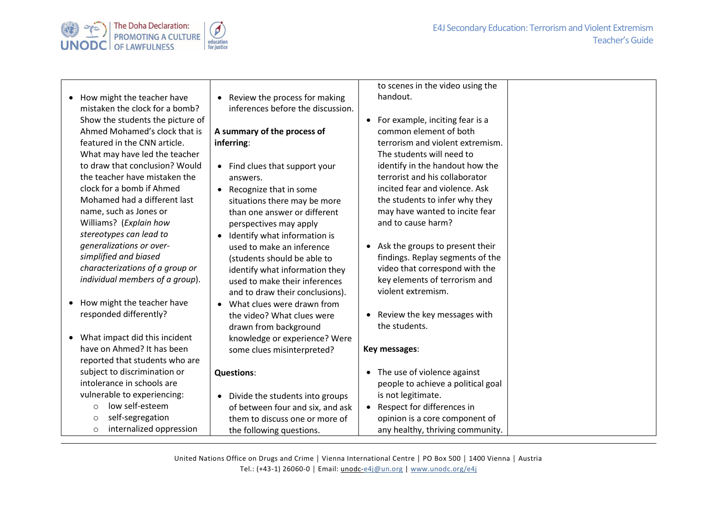



- How might the teacher have mistaken the clock for a bomb? Show the students the picture of Ahmed Mohamed's clock that is featured in the CNN article. What may have led the teacher to draw that conclusion? Would the teacher have mistaken the clock for a bomb if Ahmed Mohamed had a different last name, such as Jones or Williams? (*Explain how stereotypes can lead to generalizations or oversimplified and biased characterizations of a group or individual members of a group*).
- How might the teacher have responded differently?
- What impact did this incident have on Ahmed? It has been reported that students who are subject to discrimination or intolerance in schools are vulnerable to experiencing:
	- o low self-esteem
	- o self-segregation
	- o internalized oppression

• Review the process for making inferences before the discussion.

## **A summary of the process of inferring**:

- Find clues that support your answers.
- Recognize that in some situations there may be more than one answer or different perspectives may apply
- Identify what information is used to make an inference (students should be able to identify what information they used to make their inferences and to draw their conclusions).
- What clues were drawn from the video? What clues were drawn from background knowledge or experience? Were some clues misinterpreted?

## **Questions**:

• Divide the students into groups of between four and six, and ask them to discuss one or more of the following questions.

to scenes in the video using the handout.

- For example, inciting fear is a common element of both terrorism and violent extremism. The students will need to identify in the handout how the terrorist and his collaborator incited fear and violence. Ask the students to infer why they may have wanted to incite fear and to cause harm?
- Ask the groups to present their findings. Replay segments of the video that correspond with the key elements of terrorism and violent extremism.
- Review the key messages with the students.

## **Key messages**:

- The use of violence against people to achieve a political goal is not legitimate. • Respect for differences in
- opinion is a core component of any healthy, thriving community.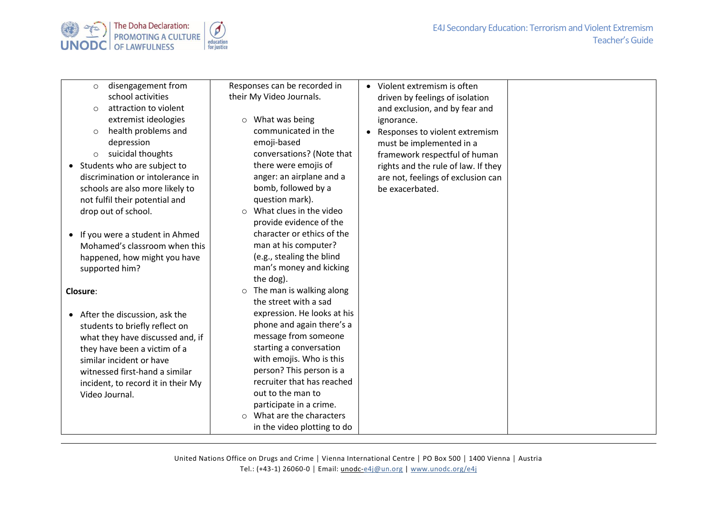



| disengagement from<br>$\circ$      | Responses can be recorded in         | • Violent extremism is often                |  |
|------------------------------------|--------------------------------------|---------------------------------------------|--|
| school activities                  | their My Video Journals.             | driven by feelings of isolation             |  |
| attraction to violent<br>$\circ$   |                                      | and exclusion, and by fear and              |  |
| extremist ideologies               | What was being<br>$\circ$            | ignorance.                                  |  |
| health problems and<br>$\circ$     | communicated in the                  | Responses to violent extremism<br>$\bullet$ |  |
| depression                         | emoji-based                          | must be implemented in a                    |  |
| suicidal thoughts<br>$\circ$       | conversations? (Note that            | framework respectful of human               |  |
| • Students who are subject to      | there were emojis of                 | rights and the rule of law. If they         |  |
| discrimination or intolerance in   | anger: an airplane and a             | are not, feelings of exclusion can          |  |
| schools are also more likely to    | bomb, followed by a                  | be exacerbated.                             |  |
| not fulfil their potential and     | question mark).                      |                                             |  |
| drop out of school.                | What clues in the video<br>$\bigcap$ |                                             |  |
|                                    | provide evidence of the              |                                             |  |
| • If you were a student in Ahmed   | character or ethics of the           |                                             |  |
| Mohamed's classroom when this      | man at his computer?                 |                                             |  |
| happened, how might you have       | (e.g., stealing the blind            |                                             |  |
| supported him?                     | man's money and kicking              |                                             |  |
|                                    | the dog).                            |                                             |  |
| Closure:                           | $\circ$ The man is walking along     |                                             |  |
|                                    | the street with a sad                |                                             |  |
| • After the discussion, ask the    | expression. He looks at his          |                                             |  |
| students to briefly reflect on     | phone and again there's a            |                                             |  |
| what they have discussed and, if   | message from someone                 |                                             |  |
| they have been a victim of a       | starting a conversation              |                                             |  |
| similar incident or have           | with emojis. Who is this             |                                             |  |
| witnessed first-hand a similar     | person? This person is a             |                                             |  |
| incident, to record it in their My | recruiter that has reached           |                                             |  |
| Video Journal.                     | out to the man to                    |                                             |  |
|                                    | participate in a crime.              |                                             |  |
|                                    | o What are the characters            |                                             |  |
|                                    | in the video plotting to do          |                                             |  |
|                                    |                                      |                                             |  |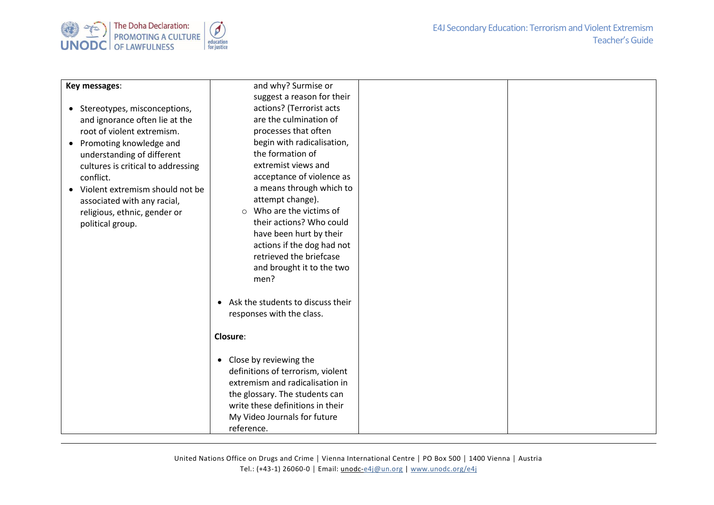

| Key messages:                                | and why? Surmise or                 |  |
|----------------------------------------------|-------------------------------------|--|
|                                              | suggest a reason for their          |  |
| • Stereotypes, misconceptions,               | actions? (Terrorist acts            |  |
| and ignorance often lie at the               | are the culmination of              |  |
| root of violent extremism.                   | processes that often                |  |
| Promoting knowledge and<br>$\bullet$         | begin with radicalisation,          |  |
| understanding of different                   | the formation of                    |  |
| cultures is critical to addressing           | extremist views and                 |  |
| conflict.                                    | acceptance of violence as           |  |
| Violent extremism should not be<br>$\bullet$ | a means through which to            |  |
| associated with any racial,                  | attempt change).                    |  |
| religious, ethnic, gender or                 | Who are the victims of<br>$\circ$   |  |
| political group.                             | their actions? Who could            |  |
|                                              | have been hurt by their             |  |
|                                              | actions if the dog had not          |  |
|                                              | retrieved the briefcase             |  |
|                                              | and brought it to the two           |  |
|                                              | men?                                |  |
|                                              |                                     |  |
|                                              | • Ask the students to discuss their |  |
|                                              | responses with the class.           |  |
|                                              |                                     |  |
|                                              | <b>Closure:</b>                     |  |
|                                              |                                     |  |
|                                              | • Close by reviewing the            |  |
|                                              | definitions of terrorism, violent   |  |
|                                              | extremism and radicalisation in     |  |
|                                              | the glossary. The students can      |  |
|                                              | write these definitions in their    |  |
|                                              | My Video Journals for future        |  |
|                                              | reference.                          |  |